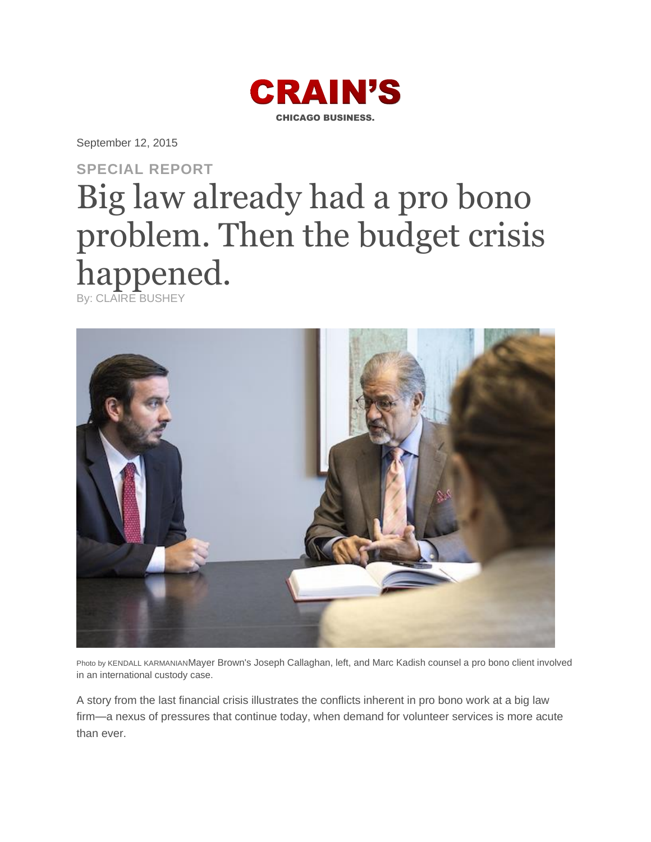

September 12, 2015

# **SPECIAL REPORT** Big law already had a pro bono problem. Then the budget crisis happened.

By: CLAIRE BUSHEY



Photo by KENDALL KARMANIANMayer Brown's Joseph Callaghan, left, and Marc Kadish counsel a pro bono client involved in an international custody case.

A story from the last financial crisis illustrates the conflicts inherent in pro bono work at a big law firm—a nexus of pressures that continue today, when demand for volunteer services is more acute than ever.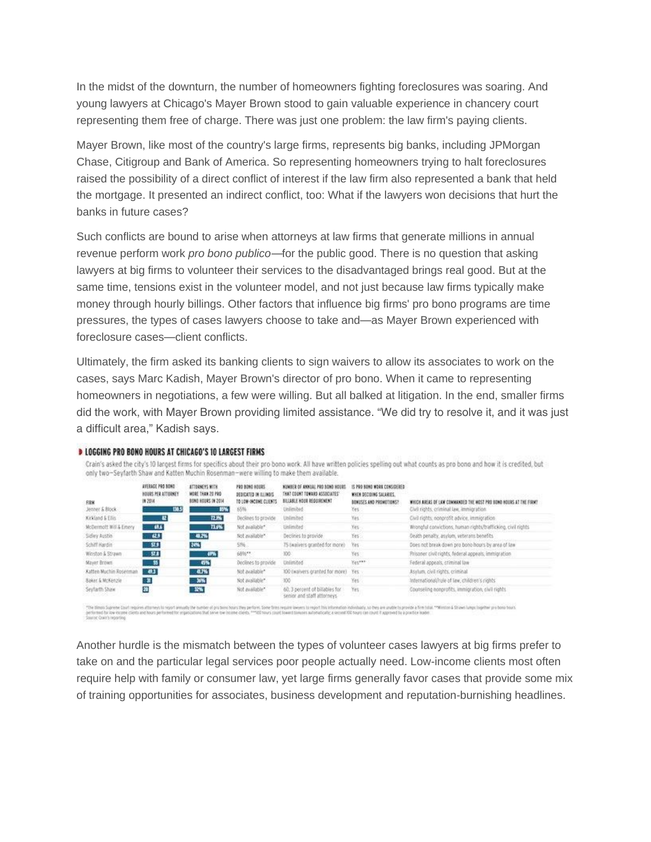In the midst of the downturn, the number of homeowners fighting foreclosures was soaring. And young lawyers at Chicago's Mayer Brown stood to gain valuable experience in chancery court representing them free of charge. There was just one problem: the law firm's paying clients.

Mayer Brown, like most of the country's large firms, represents big banks, including JPMorgan Chase, Citigroup and Bank of America. So representing homeowners trying to halt foreclosures raised the possibility of a direct conflict of interest if the law firm also represented a bank that held the mortgage. It presented an indirect conflict, too: What if the lawyers won decisions that hurt the banks in future cases?

Such conflicts are bound to arise when attorneys at law firms that generate millions in annual revenue perform work *pro bono publico—*for the public good. There is no question that asking lawyers at big firms to volunteer their services to the disadvantaged brings real good. But at the same time, tensions exist in the volunteer model, and not just because law firms typically make money through hourly billings. Other factors that influence big firms' pro bono programs are time pressures, the types of cases lawyers choose to take and—as Mayer Brown experienced with foreclosure cases—client conflicts.

Ultimately, the firm asked its banking clients to sign waivers to allow its associates to work on the cases, says Marc Kadish, Mayer Brown's director of pro bono. When it came to representing homeowners in negotiations, a few were willing. But all balked at litigation. In the end, smaller firms did the work, with Mayer Brown providing limited assistance. "We did try to resolve it, and it was just a difficult area," Kadish says.

| <b>FIRM</b><br>Jenner & Block | <b>JUSTINGE PRO BOND</b><br>HOURS PER ATTORNEY<br><b>IN 2014</b><br><b>THIS</b> | ATTORNEYS MITH.<br>MORE THAN 20 PRO-<br><b>BOND HOURS IN 2014</b><br><b>35%</b> | FRO BOND HOURS<br>DEDICATES IN REINING<br>TO LOW-UNLINE CLIENT<br>165% | NUMBER OF ANXILIC PRO BOND NOURS<br>THAT COUNT TOWARD ASSOCIATES'<br>BILLABLE HOUR REQUIREMENT<br>Unlimited | IS MAD BOND MORE CONSIDERED<br>WHEN DECIDING SALARIES.<br>BONISES AND PROMETORS?<br>yez. | WHICH AREAS OF LAW CONNAHIDED THE HOST PRO BOND HOURS AT THE FIRMT<br>Civil rights, criminal law, immigration. |
|-------------------------------|---------------------------------------------------------------------------------|---------------------------------------------------------------------------------|------------------------------------------------------------------------|-------------------------------------------------------------------------------------------------------------|------------------------------------------------------------------------------------------|----------------------------------------------------------------------------------------------------------------|
| Kirkland & Ellis              | 里                                                                               | 22.7%                                                                           | Declines to provide                                                    | Unlimited                                                                                                   | Yes.                                                                                     | Civil rights, nonprofit advice, immigration                                                                    |
| McDermolt Will & Emery        | $W_{\rm A}$                                                                     | 73.6%                                                                           | Not available*                                                         | Unlimited                                                                                                   | Yes                                                                                      | Wrongful convictions, human rights/trafficking, civil rights                                                   |
| Sidley Austin                 | as.                                                                             | 48.2%                                                                           | Not available."                                                        | Declines to provide                                                                                         | Yes                                                                                      | Seath penalty, asylom, veterans benefits                                                                       |
| Schiff Hardin                 | - 52.9                                                                          | 24%                                                                             | 556.7                                                                  | 75 (waivers granted for more)                                                                               | Tes                                                                                      | Does not break down pro bono hours by area of law                                                              |
| Winston & Strawn              | 51.8                                                                            | ers.                                                                            | 6896**                                                                 | 100                                                                                                         | Yes:                                                                                     | Prisoner civil rights, federal appeals, immigration                                                            |
| Mayer Brown                   | - 95                                                                            | <b>ESTE</b>                                                                     | Declines to provide                                                    | Unlimited                                                                                                   | Yes ran                                                                                  | Federal appeals, criminal law                                                                                  |
| <b>Katten Muchin Rosenman</b> | - 83                                                                            | 4.7%                                                                            | Not available*                                                         | 100 (waivers granted for more) Yes                                                                          |                                                                                          | Asylum, civil rights, criminal                                                                                 |
| <b>Baker &amp; McKenzie</b>   | 【第                                                                              | 36%                                                                             | Not available*                                                         | 100                                                                                                         | Yes                                                                                      | International/rule of law, children's rights                                                                   |
| Seyfarth Shaw                 | 冶                                                                               | 256<br><b>STATISTICS</b>                                                        | Not available*<br>1:469-2018 1660-2                                    | 60. 3 percent of billables for<br>senior and staff attorneys.                                               | Yes                                                                                      | Counseling nonprofits, immigration, civil rights.                                                              |

Crain's asked the city's 10 largest firms for specifics about their pro bono work. All have written policies spelling out what counts as pro bono and how it is credited, but

#### **» LOGGING PRO BONO HOURS AT CHICAGO'S 10 LARGEST FIRMS**

only two-Seyfarth Shaw and Katten Muchin Rosenman-were willing to make them available.

"The times Superne Court region attorney to regular analystic busher of pa times boars they pribes. Some treasure to require interpret to region to move that information information in the are under to provide a firm man.

Another hurdle is the mismatch between the types of volunteer cases lawyers at big firms prefer to take on and the particular legal services poor people actually need. Low-income clients most often require help with family or consumer law, yet large firms generally favor cases that provide some mix of training opportunities for associates, business development and reputation-burnishing headlines.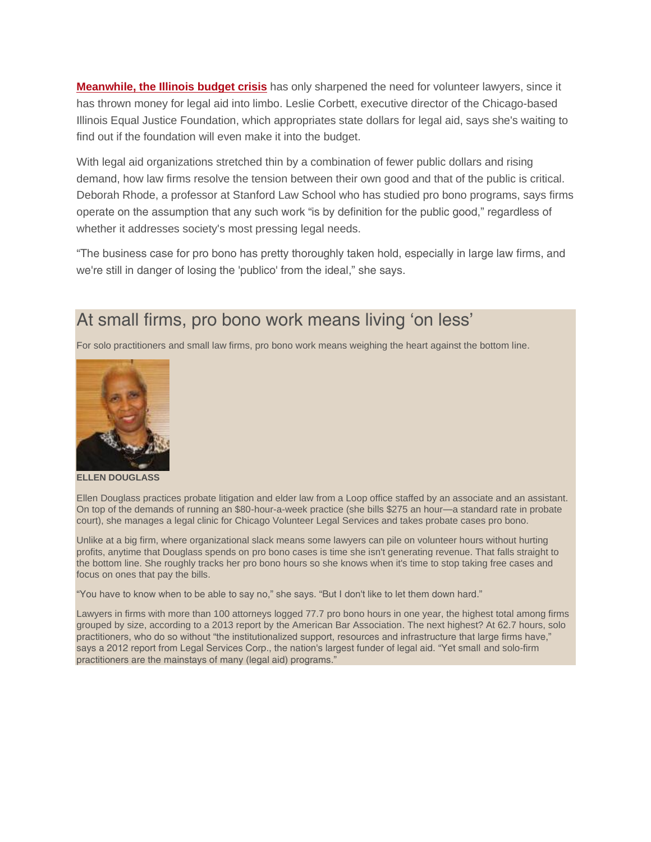**[Meanwhile, the Illinois budget crisis](http://www.chicagobusiness.com/article/20150828/NEWS02/150829821/rauner-dems-double-down-on-budget-gamble)** has only sharpened the need for volunteer lawyers, since it has thrown money for legal aid into limbo. Leslie Corbett, executive director of the Chicago-based Illinois Equal Justice Foundation, which appropriates state dollars for legal aid, says she's waiting to find out if the foundation will even make it into the budget.

With legal aid organizations stretched thin by a combination of fewer public dollars and rising demand, how law firms resolve the tension between their own good and that of the public is critical. Deborah Rhode, a professor at Stanford Law School who has studied pro bono programs, says firms operate on the assumption that any such work "is by definition for the public good," regardless of whether it addresses society's most pressing legal needs.

"The business case for pro bono has pretty thoroughly taken hold, especially in large law firms, and we're still in danger of losing the 'publico' from the ideal," she says.

### At small firms, pro bono work means living 'on less'

For solo practitioners and small law firms, pro bono work means weighing the heart against the bottom line.



**ELLEN DOUGLASS**

Ellen Douglass practices probate litigation and elder law from a Loop office staffed by an associate and an assistant. On top of the demands of running an \$80-hour-a-week practice (she bills \$275 an hour—a standard rate in probate court), she manages a legal clinic for Chicago Volunteer Legal Services and takes probate cases pro bono.

Unlike at a big firm, where organizational slack means some lawyers can pile on volunteer hours without hurting profits, anytime that Douglass spends on pro bono cases is time she isn't generating revenue. That falls straight to the bottom line. She roughly tracks her pro bono hours so she knows when it's time to stop taking free cases and focus on ones that pay the bills.

"You have to know when to be able to say no," she says. "But I don't like to let them down hard."

Lawyers in firms with more than 100 attorneys logged 77.7 pro bono hours in one year, the highest total among firms grouped by size, according to a 2013 report by the American Bar Association. The next highest? At 62.7 hours, solo practitioners, who do so without "the institutionalized support, resources and infrastructure that large firms have," says a 2012 report from Legal Services Corp., the nation's largest funder of legal aid. "Yet small and solo-firm practitioners are the mainstays of many (legal aid) programs."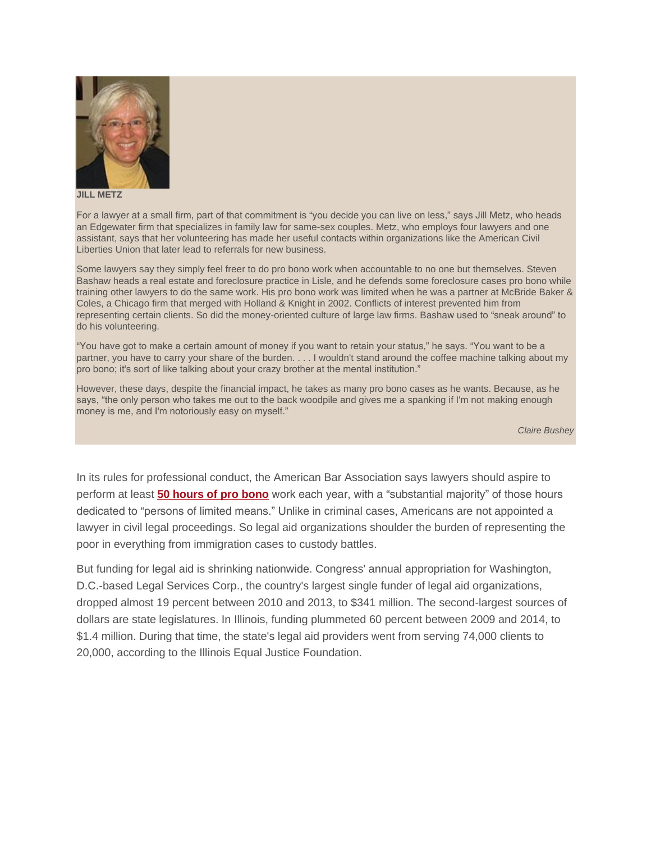

**JILL METZ**

For a lawyer at a small firm, part of that commitment is "you decide you can live on less," says Jill Metz, who heads an Edgewater firm that specializes in family law for same-sex couples. Metz, who employs four lawyers and one assistant, says that her volunteering has made her useful contacts within organizations like the American Civil Liberties Union that later lead to referrals for new business.

Some lawyers say they simply feel freer to do pro bono work when accountable to no one but themselves. Steven Bashaw heads a real estate and foreclosure practice in Lisle, and he defends some foreclosure cases pro bono while training other lawyers to do the same work. His pro bono work was limited when he was a partner at McBride Baker & Coles, a Chicago firm that merged with Holland & Knight in 2002. Conflicts of interest prevented him from representing certain clients. So did the money-oriented culture of large law firms. Bashaw used to "sneak around" to do his volunteering.

"You have got to make a certain amount of money if you want to retain your status," he says. "You want to be a partner, you have to carry your share of the burden. . . . I wouldn't stand around the coffee machine talking about my pro bono; it's sort of like talking about your crazy brother at the mental institution."

However, these days, despite the financial impact, he takes as many pro bono cases as he wants. Because, as he says, "the only person who takes me out to the back woodpile and gives me a spanking if I'm not making enough money is me, and I'm notoriously easy on myself."

*Claire Bushey*

In its rules for professional conduct, the American Bar Association says lawyers should aspire to perform at least **[50 hours of pro bono](http://www.chicagobusiness.com/article/20120818/ISSUE03/308189988/charity-begins-at-the-office)** work each year, with a "substantial majority" of those hours dedicated to "persons of limited means." Unlike in criminal cases, Americans are not appointed a lawyer in civil legal proceedings. So legal aid organizations shoulder the burden of representing the poor in everything from immigration cases to custody battles.

But funding for legal aid is shrinking nationwide. Congress' annual appropriation for Washington, D.C.-based Legal Services Corp., the country's largest single funder of legal aid organizations, dropped almost 19 percent between 2010 and 2013, to \$341 million. The second-largest sources of dollars are state legislatures. In Illinois, funding plummeted 60 percent between 2009 and 2014, to \$1.4 million. During that time, the state's legal aid providers went from serving 74,000 clients to 20,000, according to the Illinois Equal Justice Foundation.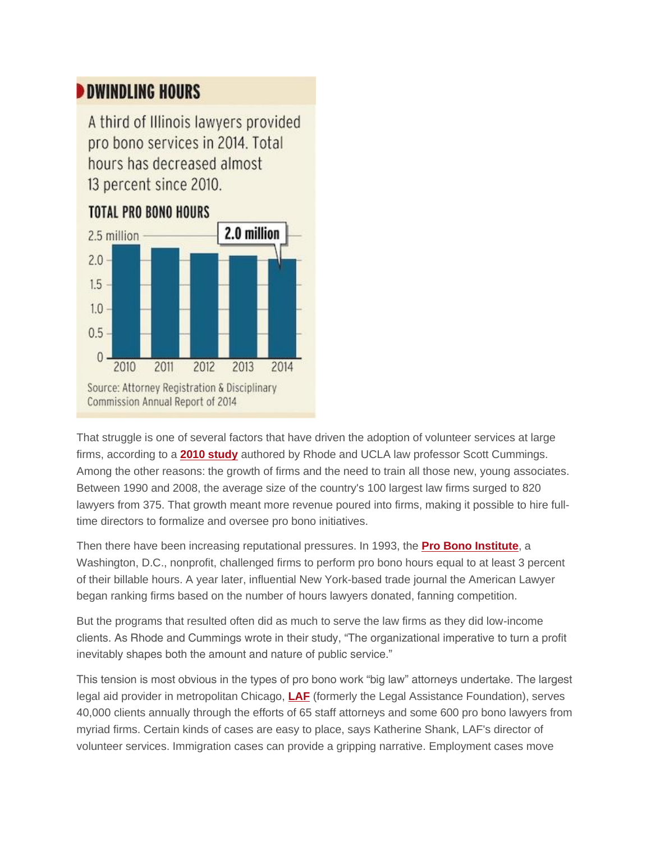## **DWINDLING HOURS**

A third of Illinois lawyers provided pro bono services in 2014. Total hours has decreased almost 13 percent since 2010.

#### **TOTAL PRO BONO HOURS**



That struggle is one of several factors that have driven the adoption of volunteer services at large firms, according to a **[2010 study](http://papers.ssrn.com/sol3/papers.cfm?abstract_id=1580263)** authored by Rhode and UCLA law professor Scott Cummings. Among the other reasons: the growth of firms and the need to train all those new, young associates. Between 1990 and 2008, the average size of the country's 100 largest law firms surged to 820 lawyers from 375. That growth meant more revenue poured into firms, making it possible to hire fulltime directors to formalize and oversee pro bono initiatives.

Then there have been increasing reputational pressures. In 1993, the **[Pro Bono Institute](http://www.probonoinst.org/#&panel1-2)**, a Washington, D.C., nonprofit, challenged firms to perform pro bono hours equal to at least 3 percent of their billable hours. A year later, influential New York-based trade journal the American Lawyer began ranking firms based on the number of hours lawyers donated, fanning competition.

But the programs that resulted often did as much to serve the law firms as they did low-income clients. As Rhode and Cummings wrote in their study, "The organizational imperative to turn a profit inevitably shapes both the amount and nature of public service."

This tension is most obvious in the types of pro bono work "big law" attorneys undertake. The largest legal aid provider in metropolitan Chicago, **[LAF](https://www.lafchicago.org/)** (formerly the Legal Assistance Foundation), serves 40,000 clients annually through the efforts of 65 staff attorneys and some 600 pro bono lawyers from myriad firms. Certain kinds of cases are easy to place, says Katherine Shank, LAF's director of volunteer services. Immigration cases can provide a gripping narrative. Employment cases move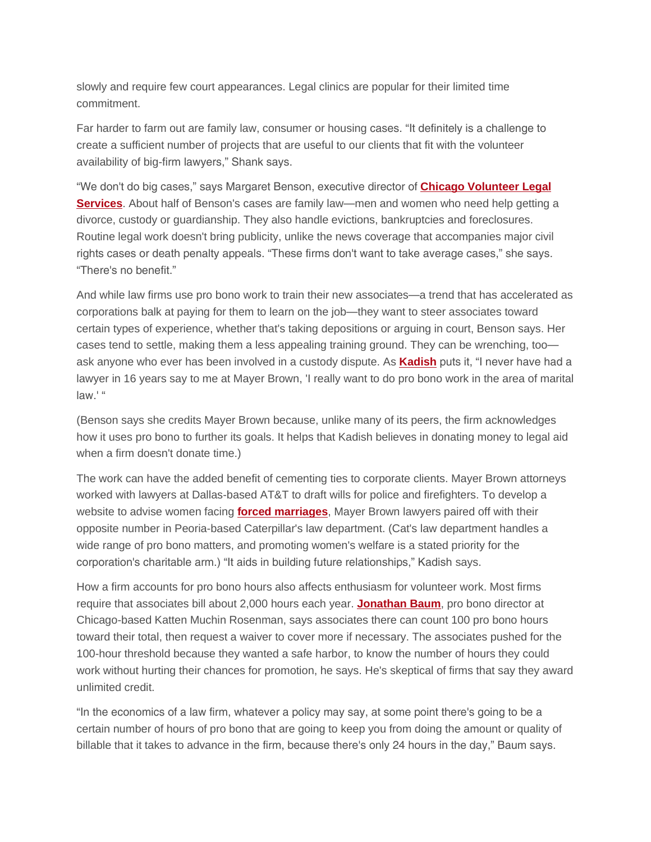slowly and require few court appearances. Legal clinics are popular for their limited time commitment.

Far harder to farm out are family law, consumer or housing cases. "It definitely is a challenge to create a sufficient number of projects that are useful to our clients that fit with the volunteer availability of big-firm lawyers," Shank says.

"We don't do big cases," says Margaret Benson, executive director of **[Chicago Volunteer Legal](http://www.cvls.org/)  [Services](http://www.cvls.org/)**. About half of Benson's cases are family law—men and women who need help getting a divorce, custody or guardianship. They also handle evictions, bankruptcies and foreclosures. Routine legal work doesn't bring publicity, unlike the news coverage that accompanies major civil rights cases or death penalty appeals. "These firms don't want to take average cases," she says. "There's no benefit."

And while law firms use pro bono work to train their new associates—a trend that has accelerated as corporations balk at paying for them to learn on the job—they want to steer associates toward certain types of experience, whether that's taking depositions or arguing in court, Benson says. Her cases tend to settle, making them a less appealing training ground. They can be wrenching, too ask anyone who ever has been involved in a custody dispute. As **[Kadish](http://chicagolawyermagazine.com/Archives/2011/09/profilestory-09-2011.aspx)** puts it, "I never have had a lawyer in 16 years say to me at Mayer Brown, 'I really want to do pro bono work in the area of marital law.' "

(Benson says she credits Mayer Brown because, unlike many of its peers, the firm acknowledges how it uses pro bono to further its goals. It helps that Kadish believes in donating money to legal aid when a firm doesn't donate time.)

The work can have the added benefit of cementing ties to corporate clients. Mayer Brown attorneys worked with lawyers at Dallas-based AT&T to draft wills for police and firefighters. To develop a website to advise women facing **[forced marriages](http://preventforcedmarriage.org/forced-marriage-overseas/)**, Mayer Brown lawyers paired off with their opposite number in Peoria-based Caterpillar's law department. (Cat's law department handles a wide range of pro bono matters, and promoting women's welfare is a stated priority for the corporation's charitable arm.) "It aids in building future relationships," Kadish says.

How a firm accounts for pro bono hours also affects enthusiasm for volunteer work. Most firms require that associates bill about 2,000 hours each year. **[Jonathan Baum](http://www.chicagolawbulletin.com/Archives/2013/09/25/baum-09-25.aspx)**, pro bono director at Chicago-based Katten Muchin Rosenman, says associates there can count 100 pro bono hours toward their total, then request a waiver to cover more if necessary. The associates pushed for the 100-hour threshold because they wanted a safe harbor, to know the number of hours they could work without hurting their chances for promotion, he says. He's skeptical of firms that say they award unlimited credit.

"In the economics of a law firm, whatever a policy may say, at some point there's going to be a certain number of hours of pro bono that are going to keep you from doing the amount or quality of billable that it takes to advance in the firm, because there's only 24 hours in the day," Baum says.